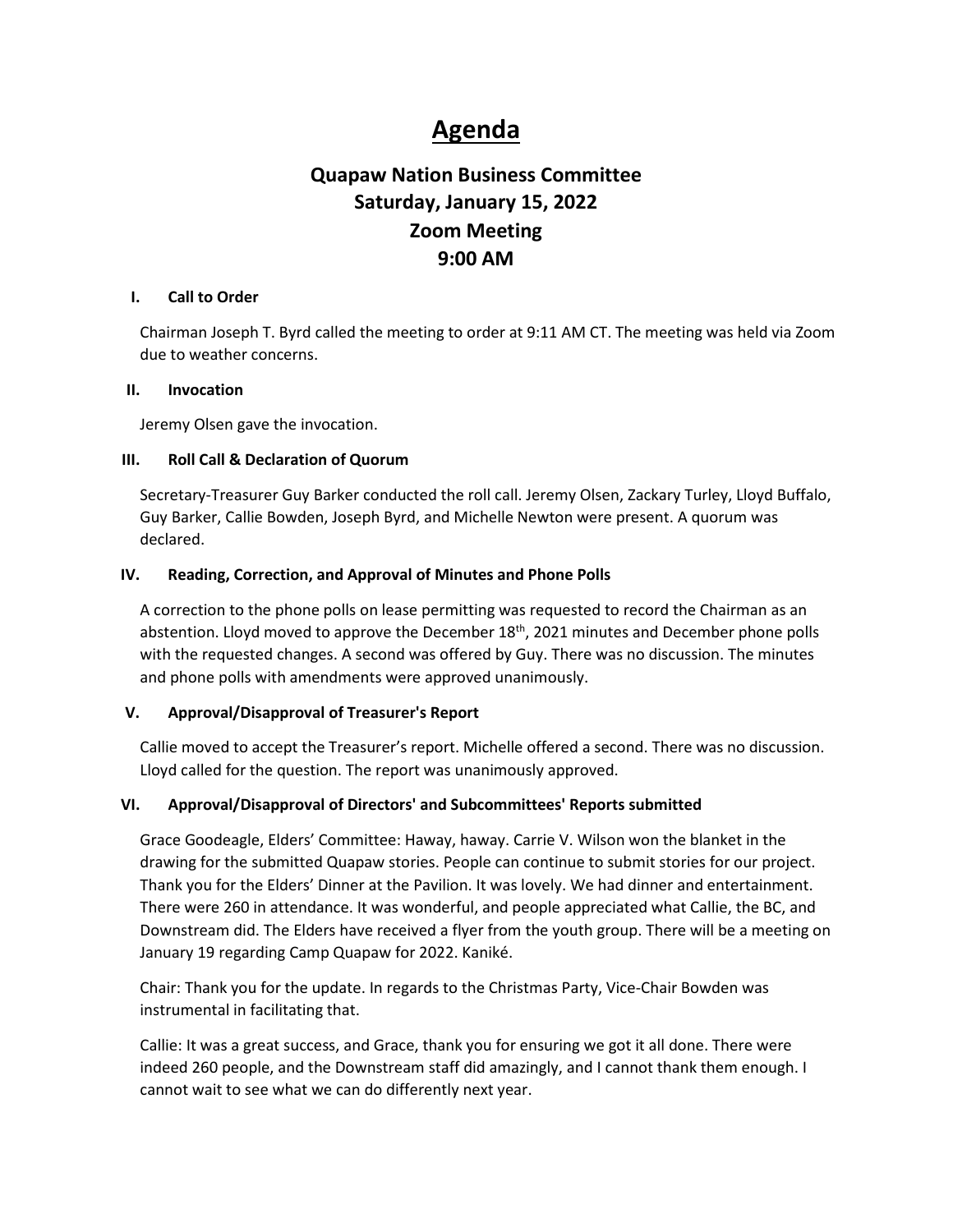# **Agenda**

## **Quapaw Nation Business Committee Saturday, January 15, 2022 Zoom Meeting 9:00 AM**

#### **I. Call to Order**

Chairman Joseph T. Byrd called the meeting to order at 9:11 AM CT. The meeting was held via Zoom due to weather concerns.

## **II. Invocation**

Jeremy Olsen gave the invocation.

## **III. Roll Call & Declaration of Quorum**

Secretary-Treasurer Guy Barker conducted the roll call. Jeremy Olsen, Zackary Turley, Lloyd Buffalo, Guy Barker, Callie Bowden, Joseph Byrd, and Michelle Newton were present. A quorum was declared.

## **IV. Reading, Correction, and Approval of Minutes and Phone Polls**

A correction to the phone polls on lease permitting was requested to record the Chairman as an abstention. Lloyd moved to approve the December 18<sup>th</sup>, 2021 minutes and December phone polls with the requested changes. A second was offered by Guy. There was no discussion. The minutes and phone polls with amendments were approved unanimously.

## **V. Approval/Disapproval of Treasurer's Report**

Callie moved to accept the Treasurer's report. Michelle offered a second. There was no discussion. Lloyd called for the question. The report was unanimously approved.

## **VI. Approval/Disapproval of Directors' and Subcommittees' Reports submitted**

Grace Goodeagle, Elders' Committee: Haway, haway. Carrie V. Wilson won the blanket in the drawing for the submitted Quapaw stories. People can continue to submit stories for our project. Thank you for the Elders' Dinner at the Pavilion. It was lovely. We had dinner and entertainment. There were 260 in attendance. It was wonderful, and people appreciated what Callie, the BC, and Downstream did. The Elders have received a flyer from the youth group. There will be a meeting on January 19 regarding Camp Quapaw for 2022. Kaniké.

Chair: Thank you for the update. In regards to the Christmas Party, Vice-Chair Bowden was instrumental in facilitating that.

Callie: It was a great success, and Grace, thank you for ensuring we got it all done. There were indeed 260 people, and the Downstream staff did amazingly, and I cannot thank them enough. I cannot wait to see what we can do differently next year.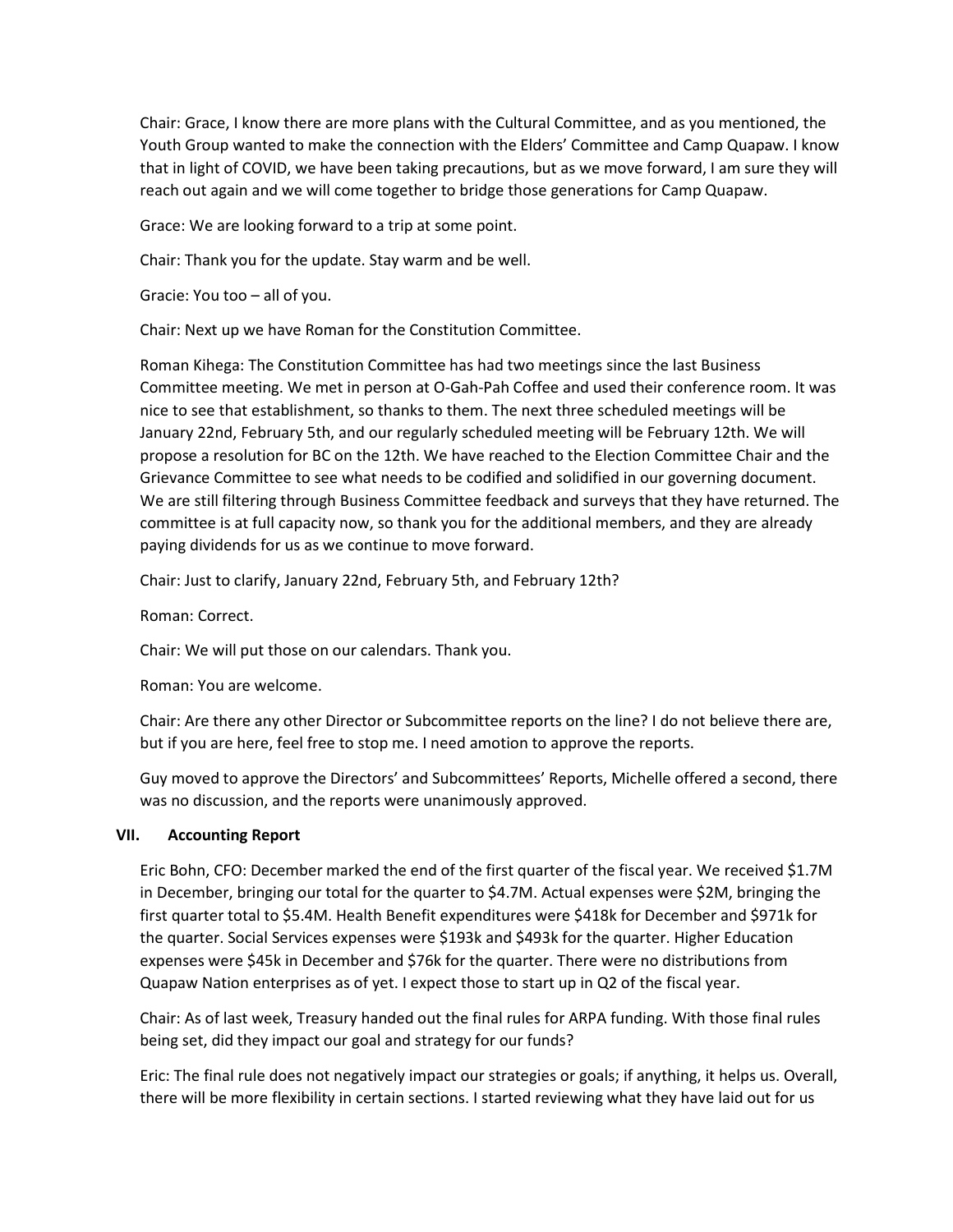Chair: Grace, I know there are more plans with the Cultural Committee, and as you mentioned, the Youth Group wanted to make the connection with the Elders' Committee and Camp Quapaw. I know that in light of COVID, we have been taking precautions, but as we move forward, I am sure they will reach out again and we will come together to bridge those generations for Camp Quapaw.

Grace: We are looking forward to a trip at some point.

Chair: Thank you for the update. Stay warm and be well.

Gracie: You too – all of you.

Chair: Next up we have Roman for the Constitution Committee.

Roman Kihega: The Constitution Committee has had two meetings since the last Business Committee meeting. We met in person at O-Gah-Pah Coffee and used their conference room. It was nice to see that establishment, so thanks to them. The next three scheduled meetings will be January 22nd, February 5th, and our regularly scheduled meeting will be February 12th. We will propose a resolution for BC on the 12th. We have reached to the Election Committee Chair and the Grievance Committee to see what needs to be codified and solidified in our governing document. We are still filtering through Business Committee feedback and surveys that they have returned. The committee is at full capacity now, so thank you for the additional members, and they are already paying dividends for us as we continue to move forward.

Chair: Just to clarify, January 22nd, February 5th, and February 12th?

Roman: Correct.

Chair: We will put those on our calendars. Thank you.

Roman: You are welcome.

Chair: Are there any other Director or Subcommittee reports on the line? I do not believe there are, but if you are here, feel free to stop me. I need amotion to approve the reports.

Guy moved to approve the Directors' and Subcommittees' Reports, Michelle offered a second, there was no discussion, and the reports were unanimously approved.

#### **VII. Accounting Report**

Eric Bohn, CFO: December marked the end of the first quarter of the fiscal year. We received \$1.7M in December, bringing our total for the quarter to \$4.7M. Actual expenses were \$2M, bringing the first quarter total to \$5.4M. Health Benefit expenditures were \$418k for December and \$971k for the quarter. Social Services expenses were \$193k and \$493k for the quarter. Higher Education expenses were \$45k in December and \$76k for the quarter. There were no distributions from Quapaw Nation enterprises as of yet. I expect those to start up in Q2 of the fiscal year.

Chair: As of last week, Treasury handed out the final rules for ARPA funding. With those final rules being set, did they impact our goal and strategy for our funds?

Eric: The final rule does not negatively impact our strategies or goals; if anything, it helps us. Overall, there will be more flexibility in certain sections. I started reviewing what they have laid out for us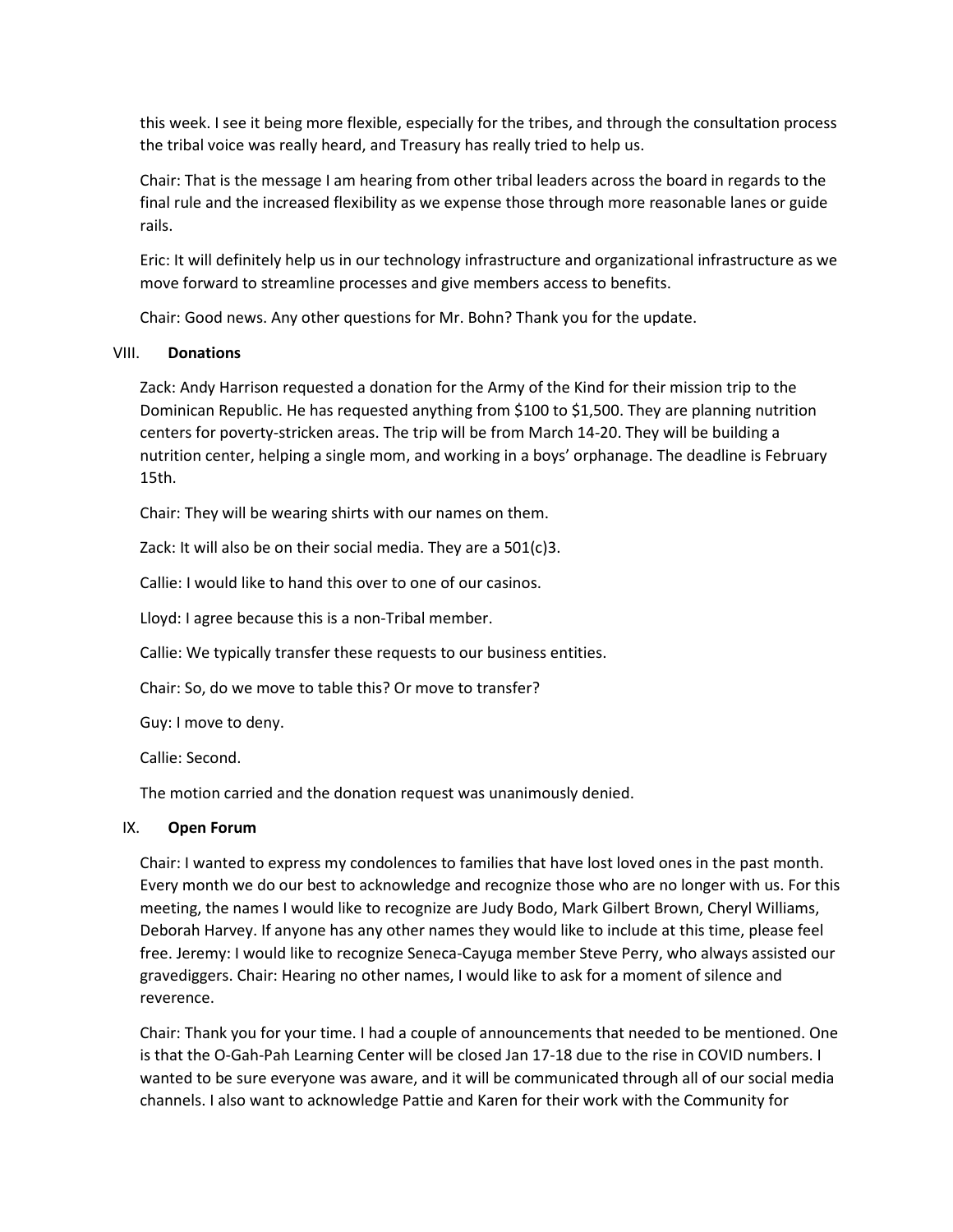this week. I see it being more flexible, especially for the tribes, and through the consultation process the tribal voice was really heard, and Treasury has really tried to help us.

Chair: That is the message I am hearing from other tribal leaders across the board in regards to the final rule and the increased flexibility as we expense those through more reasonable lanes or guide rails.

Eric: It will definitely help us in our technology infrastructure and organizational infrastructure as we move forward to streamline processes and give members access to benefits.

Chair: Good news. Any other questions for Mr. Bohn? Thank you for the update.

## VIII. **Donations**

Zack: Andy Harrison requested a donation for the Army of the Kind for their mission trip to the Dominican Republic. He has requested anything from \$100 to \$1,500. They are planning nutrition centers for poverty-stricken areas. The trip will be from March 14-20. They will be building a nutrition center, helping a single mom, and working in a boys' orphanage. The deadline is February 15th.

Chair: They will be wearing shirts with our names on them.

Zack: It will also be on their social media. They are a 501(c)3.

Callie: I would like to hand this over to one of our casinos.

Lloyd: I agree because this is a non-Tribal member.

Callie: We typically transfer these requests to our business entities.

Chair: So, do we move to table this? Or move to transfer?

Guy: I move to deny.

Callie: Second.

The motion carried and the donation request was unanimously denied.

## IX. **Open Forum**

Chair: I wanted to express my condolences to families that have lost loved ones in the past month. Every month we do our best to acknowledge and recognize those who are no longer with us. For this meeting, the names I would like to recognize are Judy Bodo, Mark Gilbert Brown, Cheryl Williams, Deborah Harvey. If anyone has any other names they would like to include at this time, please feel free. Jeremy: I would like to recognize Seneca-Cayuga member Steve Perry, who always assisted our gravediggers. Chair: Hearing no other names, I would like to ask for a moment of silence and reverence.

Chair: Thank you for your time. I had a couple of announcements that needed to be mentioned. One is that the O-Gah-Pah Learning Center will be closed Jan 17-18 due to the rise in COVID numbers. I wanted to be sure everyone was aware, and it will be communicated through all of our social media channels. I also want to acknowledge Pattie and Karen for their work with the Community for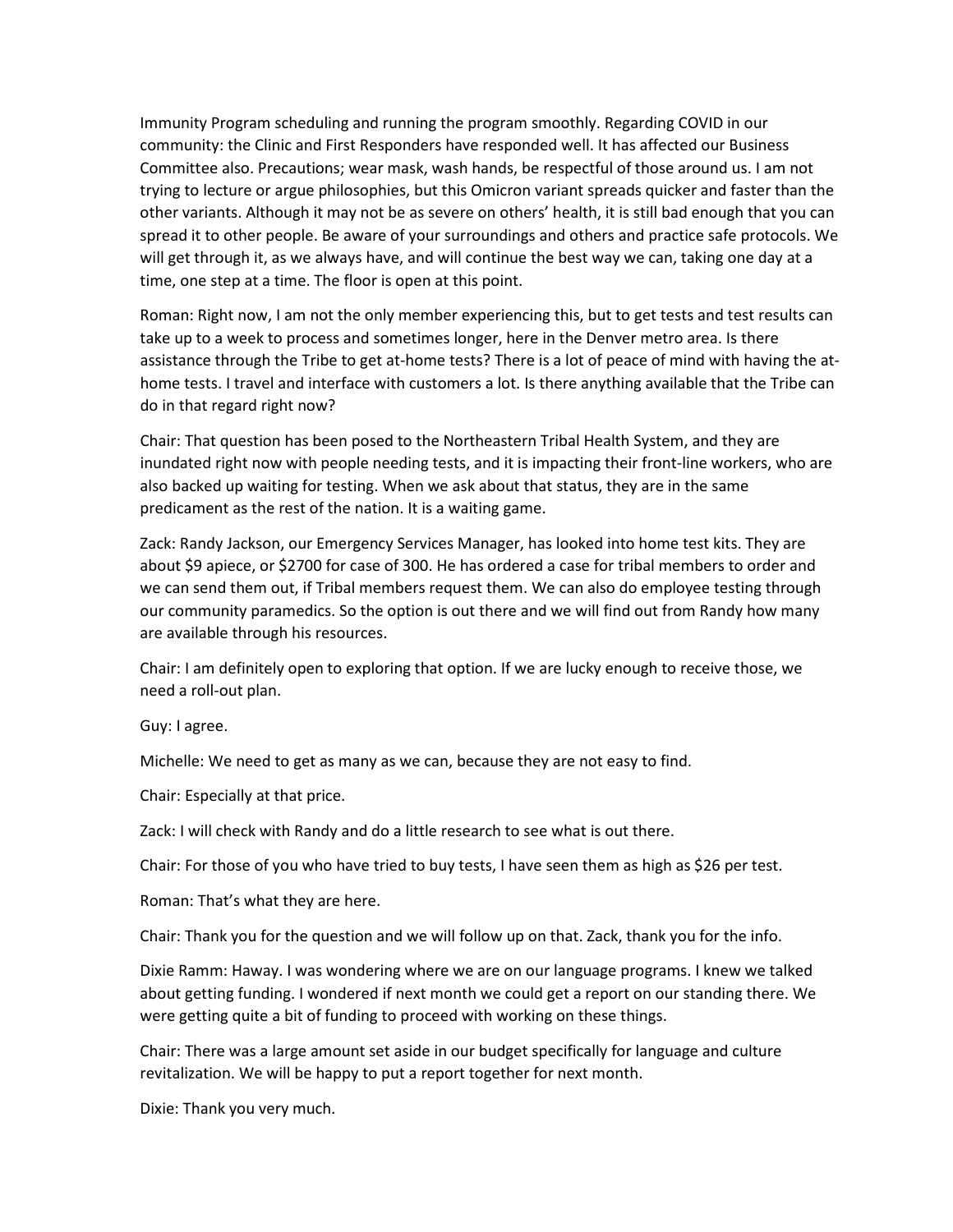Immunity Program scheduling and running the program smoothly. Regarding COVID in our community: the Clinic and First Responders have responded well. It has affected our Business Committee also. Precautions; wear mask, wash hands, be respectful of those around us. I am not trying to lecture or argue philosophies, but this Omicron variant spreads quicker and faster than the other variants. Although it may not be as severe on others' health, it is still bad enough that you can spread it to other people. Be aware of your surroundings and others and practice safe protocols. We will get through it, as we always have, and will continue the best way we can, taking one day at a time, one step at a time. The floor is open at this point.

Roman: Right now, I am not the only member experiencing this, but to get tests and test results can take up to a week to process and sometimes longer, here in the Denver metro area. Is there assistance through the Tribe to get at-home tests? There is a lot of peace of mind with having the athome tests. I travel and interface with customers a lot. Is there anything available that the Tribe can do in that regard right now?

Chair: That question has been posed to the Northeastern Tribal Health System, and they are inundated right now with people needing tests, and it is impacting their front-line workers, who are also backed up waiting for testing. When we ask about that status, they are in the same predicament as the rest of the nation. It is a waiting game.

Zack: Randy Jackson, our Emergency Services Manager, has looked into home test kits. They are about \$9 apiece, or \$2700 for case of 300. He has ordered a case for tribal members to order and we can send them out, if Tribal members request them. We can also do employee testing through our community paramedics. So the option is out there and we will find out from Randy how many are available through his resources.

Chair: I am definitely open to exploring that option. If we are lucky enough to receive those, we need a roll-out plan.

Guy: I agree.

Michelle: We need to get as many as we can, because they are not easy to find.

Chair: Especially at that price.

Zack: I will check with Randy and do a little research to see what is out there.

Chair: For those of you who have tried to buy tests, I have seen them as high as \$26 per test.

Roman: That's what they are here.

Chair: Thank you for the question and we will follow up on that. Zack, thank you for the info.

Dixie Ramm: Haway. I was wondering where we are on our language programs. I knew we talked about getting funding. I wondered if next month we could get a report on our standing there. We were getting quite a bit of funding to proceed with working on these things.

Chair: There was a large amount set aside in our budget specifically for language and culture revitalization. We will be happy to put a report together for next month.

Dixie: Thank you very much.